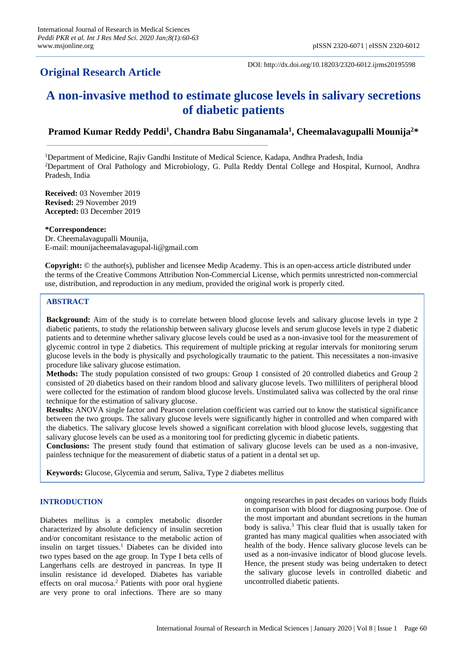## **Original Research Article**

DOI: http://dx.doi.org/10.18203/2320-6012.ijrms20195598

# **A non-invasive method to estimate glucose levels in salivary secretions of diabetic patients**

### **Pramod Kumar Reddy Peddi<sup>1</sup> , Chandra Babu Singanamala<sup>1</sup> , Cheemalavagupalli Mounija<sup>2</sup>\***

<sup>1</sup>Department of Medicine, Rajiv Gandhi Institute of Medical Science, Kadapa, Andhra Pradesh, India <sup>2</sup>Department of Oral Pathology and Microbiology, G. Pulla Reddy Dental College and Hospital, Kurnool, Andhra Pradesh, India

**Received:** 03 November 2019 **Revised:** 29 November 2019 **Accepted:** 03 December 2019

#### **\*Correspondence:**

Dr. Cheemalavagupalli Mounija, E-mail: mounijacheemalavagupal-li@gmail.com

**Copyright:** © the author(s), publisher and licensee Medip Academy. This is an open-access article distributed under the terms of the Creative Commons Attribution Non-Commercial License, which permits unrestricted non-commercial use, distribution, and reproduction in any medium, provided the original work is properly cited.

#### **ABSTRACT**

**Background:** Aim of the study is to correlate between blood glucose levels and salivary glucose levels in type 2 diabetic patients, to study the relationship between salivary glucose levels and serum glucose levels in type 2 diabetic patients and to determine whether salivary glucose levels could be used as a non-invasive tool for the measurement of glycemic control in type 2 diabetics. This requirement of multiple pricking at regular intervals for monitoring serum glucose levels in the body is physically and psychologically traumatic to the patient. This necessitates a non-invasive procedure like salivary glucose estimation.

**Methods:** The study population consisted of two groups: Group 1 consisted of 20 controlled diabetics and Group 2 consisted of 20 diabetics based on their random blood and salivary glucose levels. Two milliliters of peripheral blood were collected for the estimation of random blood glucose levels. Unstimulated saliva was collected by the oral rinse technique for the estimation of salivary glucose.

**Results:** ANOVA single factor and Pearson correlation coefficient was carried out to know the statistical significance between the two groups. The salivary glucose levels were significantly higher in controlled and when compared with the diabetics. The salivary glucose levels showed a significant correlation with blood glucose levels, suggesting that salivary glucose levels can be used as a monitoring tool for predicting glycemic in diabetic patients.

**Conclusions:** The present study found that estimation of salivary glucose levels can be used as a non-invasive, painless technique for the measurement of diabetic status of a patient in a dental set up.

**Keywords:** Glucose, Glycemia and serum, Saliva, Type 2 diabetes mellitus

#### **INTRODUCTION**

Diabetes mellitus is a complex metabolic disorder characterized by absolute deficiency of insulin secretion and/or concomitant resistance to the metabolic action of insulin on target tissues. <sup>1</sup> Diabetes can be divided into two types based on the age group. In Type I beta cells of Langerhans cells are destroyed in pancreas. In type II insulin resistance id developed. Diabetes has variable effects on oral mucosa. <sup>2</sup> Patients with poor oral hygiene are very prone to oral infections. There are so many ongoing researches in past decades on various body fluids in comparison with blood for diagnosing purpose. One of the most important and abundant secretions in the human body is saliva. <sup>3</sup> This clear fluid that is usually taken for granted has many magical qualities when associated with health of the body. Hence salivary glucose levels can be used as a non-invasive indicator of blood glucose levels. Hence, the present study was being undertaken to detect the salivary glucose levels in controlled diabetic and uncontrolled diabetic patients.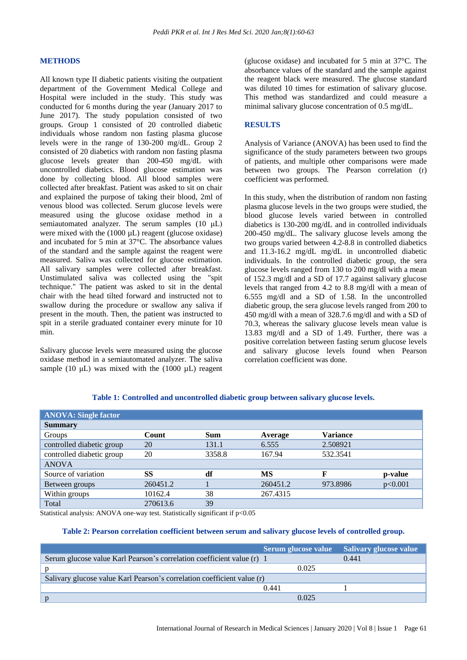#### **METHODS**

All known type II diabetic patients visiting the outpatient department of the Government Medical College and Hospital were included in the study. This study was conducted for 6 months during the year (January 2017 to June 2017). The study population consisted of two groups. Group 1 consisted of 20 controlled diabetic individuals whose random non fasting plasma glucose levels were in the range of 130-200 mg/dL. Group 2 consisted of 20 diabetics with random non fasting plasma glucose levels greater than 200-450 mg/dL with uncontrolled diabetics. Blood glucose estimation was done by collecting blood. All blood samples were collected after breakfast. Patient was asked to sit on chair and explained the purpose of taking their blood, 2ml of venous blood was collected. Serum glucose levels were measured using the glucose oxidase method in a semiautomated analyzer. The serum samples (10 μL) were mixed with the  $(1000 \mu L)$  reagent (glucose oxidase) and incubated for 5 min at 37°C. The absorbance values of the standard and the sample against the reagent were measured. Saliva was collected for glucose estimation. All salivary samples were collected after breakfast. Unstimulated saliva was collected using the "spit technique." The patient was asked to sit in the dental chair with the head tilted forward and instructed not to swallow during the procedure or swallow any saliva if present in the mouth. Then, the patient was instructed to spit in a sterile graduated container every minute for 10 min.

Salivary glucose levels were measured using the glucose oxidase method in a semiautomated analyzer. The saliva sample (10  $\mu$ L) was mixed with the (1000  $\mu$ L) reagent (glucose oxidase) and incubated for 5 min at 37°C. The absorbance values of the standard and the sample against the reagent black were measured. The glucose standard was diluted 10 times for estimation of salivary glucose. This method was standardized and could measure a minimal salivary glucose concentration of 0.5 mg/dL.

#### **RESULTS**

Analysis of Variance (ANOVA) has been used to find the significance of the study parameters between two groups of patients, and multiple other comparisons were made between two groups. The Pearson correlation (r) coefficient was performed.

In this study, when the distribution of random non fasting plasma glucose levels in the two groups were studied, the blood glucose levels varied between in controlled diabetics is 130-200 mg/dL and in controlled individuals 200-450 mg/dL. The salivary glucose levels among the two groups varied between 4.2-8.8 in controlled diabetics and 11.3-16.2 mg/dL mg/dL in uncontrolled diabetic individuals. In the controlled diabetic group, the sera glucose levels ranged from 130 to 200 mg/dl with a mean of 152.3 mg/dl and a SD of 17.7 against salivary glucose levels that ranged from 4.2 to 8.8 mg/dl with a mean of 6.555 mg/dl and a SD of 1.58. In the uncontrolled diabetic group, the sera glucose levels ranged from 200 to 450 mg/dl with a mean of 328.7.6 mg/dl and with a SD of 70.3, whereas the salivary glucose levels mean value is 13.83 mg/dl and a SD of 1.49. Further, there was a positive correlation between fasting serum glucose levels and salivary glucose levels found when Pearson correlation coefficient was done.

| <b>ANOVA: Single factor</b> |          |            |           |                 |         |
|-----------------------------|----------|------------|-----------|-----------------|---------|
| <b>Summary</b>              |          |            |           |                 |         |
| Groups                      | Count    | <b>Sum</b> | Average   | <b>Variance</b> |         |
| controlled diabetic group   | 20       | 131.1      | 6.555     | 2.508921        |         |
| controlled diabetic group   | 20       | 3358.8     | 167.94    | 532.3541        |         |
| <b>ANOVA</b>                |          |            |           |                 |         |
| Source of variation         | SS       | df         | <b>MS</b> | F               | p-value |
| Between groups              | 260451.2 |            | 260451.2  | 973.8986        | p<0.001 |
| Within groups               | 10162.4  | 38         | 267.4315  |                 |         |
| Total                       | 270613.6 | 39         |           |                 |         |

#### **Table 1: Controlled and uncontrolled diabetic group between salivary glucose levels.**

Statistical analysis: ANOVA one-way test. Statistically significant if  $p \le 0.05$ 

#### **Table 2: Pearson correlation coefficient between serum and salivary glucose levels of controlled group.**

|                                                                         |       | Serum glucose value Salivary glucose value |  |  |
|-------------------------------------------------------------------------|-------|--------------------------------------------|--|--|
| Serum glucose value Karl Pearson's correlation coefficient value (r) 1  |       | 0.441                                      |  |  |
|                                                                         | 0.025 |                                            |  |  |
| Salivary glucose value Karl Pearson's correlation coefficient value (r) |       |                                            |  |  |
|                                                                         | 0.441 |                                            |  |  |
|                                                                         | 0.025 |                                            |  |  |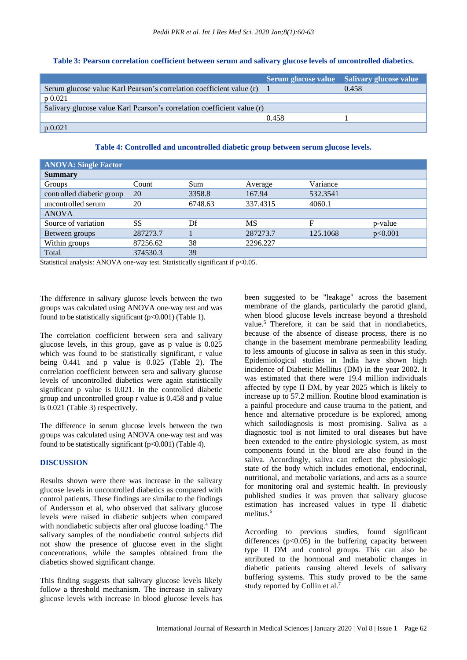#### **Table 3: Pearson correlation coefficient between serum and salivary glucose levels of uncontrolled diabetics.**

|                                                                         |       | Serum glucose value Salivary glucose value |
|-------------------------------------------------------------------------|-------|--------------------------------------------|
| Serum glucose value Karl Pearson's correlation coefficient value (r)    |       | 0.458                                      |
| $p \ 0.021$                                                             |       |                                            |
| Salivary glucose value Karl Pearson's correlation coefficient value (r) |       |                                            |
|                                                                         | 0.458 |                                            |
| p 0.021                                                                 |       |                                            |

**Table 4: Controlled and uncontrolled diabetic group between serum glucose levels.**

| <b>ANOVA: Single Factor</b> |           |         |          |          |         |  |  |
|-----------------------------|-----------|---------|----------|----------|---------|--|--|
| <b>Summary</b>              |           |         |          |          |         |  |  |
| Groups                      | Count     | Sum.    | Average  | Variance |         |  |  |
| controlled diabetic group   | 20        | 3358.8  | 167.94   | 532.3541 |         |  |  |
| uncontrolled serum          | 20        | 6748.63 | 337.4315 | 4060.1   |         |  |  |
| <b>ANOVA</b>                |           |         |          |          |         |  |  |
| Source of variation         | <b>SS</b> | Df      | МS       | F        | p-value |  |  |
| Between groups              | 287273.7  |         | 287273.7 | 125.1068 | p<0.001 |  |  |
| Within groups               | 87256.62  | 38      | 2296.227 |          |         |  |  |
| Total                       | 374530.3  | 39      |          |          |         |  |  |

Statistical analysis: ANOVA one-way test. Statistically significant if p<0.05.

The difference in salivary glucose levels between the two groups was calculated using ANOVA one‑way test and was found to be statistically significant  $(p<0.001)$  (Table 1).

The correlation coefficient between sera and salivary glucose levels, in this group, gave as p value is 0.025 which was found to be statistically significant, r value being 0.441 and p value is 0.025 (Table 2). The correlation coefficient between sera and salivary glucose levels of uncontrolled diabetics were again statistically significant p value is 0.021. In the controlled diabetic group and uncontrolled group r value is 0.458 and p value is 0.021 (Table 3) respectively.

The difference in serum glucose levels between the two groups was calculated using ANOVA one‑way test and was found to be statistically significant  $(p<0.001)$  (Table 4).

#### **DISCUSSION**

Results shown were there was increase in the salivary glucose levels in uncontrolled diabetics as compared with control patients. These findings are similar to the findings of Andersson et al, who observed that salivary glucose levels were raised in diabetic subjects when compared with nondiabetic subjects after oral glucose loading.<sup>4</sup> The salivary samples of the nondiabetic control subjects did not show the presence of glucose even in the slight concentrations, while the samples obtained from the diabetics showed significant change.

This finding suggests that salivary glucose levels likely follow a threshold mechanism. The increase in salivary glucose levels with increase in blood glucose levels has

been suggested to be "leakage" across the basement membrane of the glands, particularly the parotid gland, when blood glucose levels increase beyond a threshold value.<sup>5</sup> Therefore, it can be said that in nondiabetics, because of the absence of disease process, there is no change in the basement membrane permeability leading to less amounts of glucose in saliva as seen in this study. Epidemiological studies in India have shown high incidence of Diabetic Mellitus (DM) in the year 2002. It was estimated that there were 19.4 million individuals affected by type II DM, by year 2025 which is likely to increase up to 57.2 million. Routine blood examination is a painful procedure and cause trauma to the patient, and hence and alternative procedure is be explored, among which sailodiagnosis is most promising. Saliva as a diagnostic tool is not limited to oral diseases but have been extended to the entire physiologic system, as most components found in the blood are also found in the saliva. Accordingly, saliva can reflect the physiologic state of the body which includes emotional, endocrinal, nutritional, and metabolic variations, and acts as a source for monitoring oral and systemic health. In previously published studies it was proven that salivary glucose estimation has increased values in type II diabetic melitus. 6

According to previous studies, found significant differences  $(p<0.05)$  in the buffering capacity between type II DM and control groups. This can also be attributed to the hormonal and metabolic changes in diabetic patients causing altered levels of salivary buffering systems. This study proved to be the same study reported by Collin et al. 7